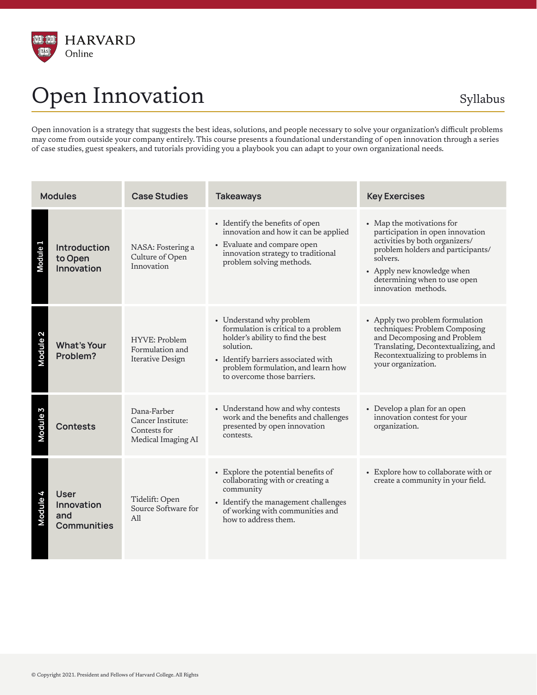

## Open Innovation Syllabus

Open innovation is a strategy that suggests the best ideas, solutions, and people necessary to solve your organization's difficult problems may come from outside your company entirely. This course presents a foundational understanding of open innovation through a series of case studies, guest speakers, and tutorials providing you a playbook you can adapt to your own organizational needs.

| <b>Modules</b>      |                                                 | <b>Case Studies</b>                                                    | <b>Takeaways</b>                                                                                                                                                                                                               | <b>Key Exercises</b>                                                                                                                                                                                                                  |
|---------------------|-------------------------------------------------|------------------------------------------------------------------------|--------------------------------------------------------------------------------------------------------------------------------------------------------------------------------------------------------------------------------|---------------------------------------------------------------------------------------------------------------------------------------------------------------------------------------------------------------------------------------|
| Module <sub>1</sub> | <b>Introduction</b><br>to Open<br>Innovation    | NASA: Fostering a<br>Culture of Open<br>Innovation                     | • Identify the benefits of open<br>innovation and how it can be applied<br>• Evaluate and compare open<br>innovation strategy to traditional<br>problem solving methods.                                                       | • Map the motivations for<br>participation in open innovation<br>activities by both organizers/<br>problem holders and participants/<br>solvers.<br>• Apply new knowledge when<br>determining when to use open<br>innovation methods. |
| Module <sub>2</sub> | <b>What's Your</b><br>Problem?                  | HYVE: Problem<br>Formulation and<br>Iterative Design                   | • Understand why problem<br>formulation is critical to a problem<br>holder's ability to find the best<br>solution.<br>• Identify barriers associated with<br>problem formulation, and learn how<br>to overcome those barriers. | • Apply two problem formulation<br>techniques: Problem Composing<br>and Decomposing and Problem<br>Translating, Decontextualizing, and<br>Recontextualizing to problems in<br>your organization.                                      |
| Module <sub>3</sub> | <b>Contests</b>                                 | Dana-Farber<br>Cancer Institute:<br>Contests for<br>Medical Imaging AI | • Understand how and why contests<br>work and the benefits and challenges<br>presented by open innovation<br>contests.                                                                                                         | • Develop a plan for an open<br>innovation contest for your<br>organization.                                                                                                                                                          |
| Module 4            | User<br>Innovation<br>and<br><b>Communities</b> | Tidelift: Open<br>Source Software for<br>A11                           | • Explore the potential benefits of<br>collaborating with or creating a<br>community<br>• Identify the management challenges<br>of working with communities and<br>how to address them.                                        | • Explore how to collaborate with or<br>create a community in your field.                                                                                                                                                             |